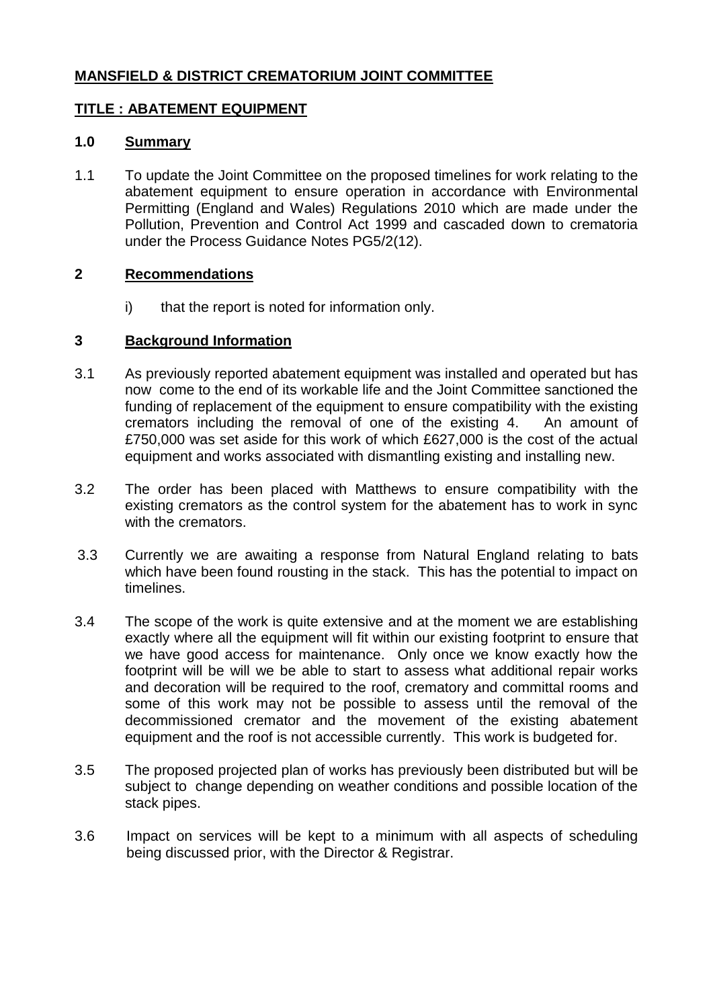# **MANSFIELD & DISTRICT CREMATORIUM JOINT COMMITTEE**

### **TITLE : ABATEMENT EQUIPMENT**

#### **1.0 Summary**

1.1 To update the Joint Committee on the proposed timelines for work relating to the abatement equipment to ensure operation in accordance with Environmental Permitting (England and Wales) Regulations 2010 which are made under the Pollution, Prevention and Control Act 1999 and cascaded down to crematoria under the Process Guidance Notes PG5/2(12).

#### **2 Recommendations**

i) that the report is noted for information only.

#### **3 Background Information**

- 3.1 As previously reported abatement equipment was installed and operated but has now come to the end of its workable life and the Joint Committee sanctioned the funding of replacement of the equipment to ensure compatibility with the existing cremators including the removal of one of the existing 4. An amount of £750,000 was set aside for this work of which £627,000 is the cost of the actual equipment and works associated with dismantling existing and installing new.
- 3.2 The order has been placed with Matthews to ensure compatibility with the existing cremators as the control system for the abatement has to work in sync with the cremators.
- 3.3 Currently we are awaiting a response from Natural England relating to bats which have been found rousting in the stack. This has the potential to impact on timelines.
- 3.4 The scope of the work is quite extensive and at the moment we are establishing exactly where all the equipment will fit within our existing footprint to ensure that we have good access for maintenance. Only once we know exactly how the footprint will be will we be able to start to assess what additional repair works and decoration will be required to the roof, crematory and committal rooms and some of this work may not be possible to assess until the removal of the decommissioned cremator and the movement of the existing abatement equipment and the roof is not accessible currently. This work is budgeted for.
- 3.5 The proposed projected plan of works has previously been distributed but will be subject to change depending on weather conditions and possible location of the stack pipes.
- 3.6 Impact on services will be kept to a minimum with all aspects of scheduling being discussed prior, with the Director & Registrar.